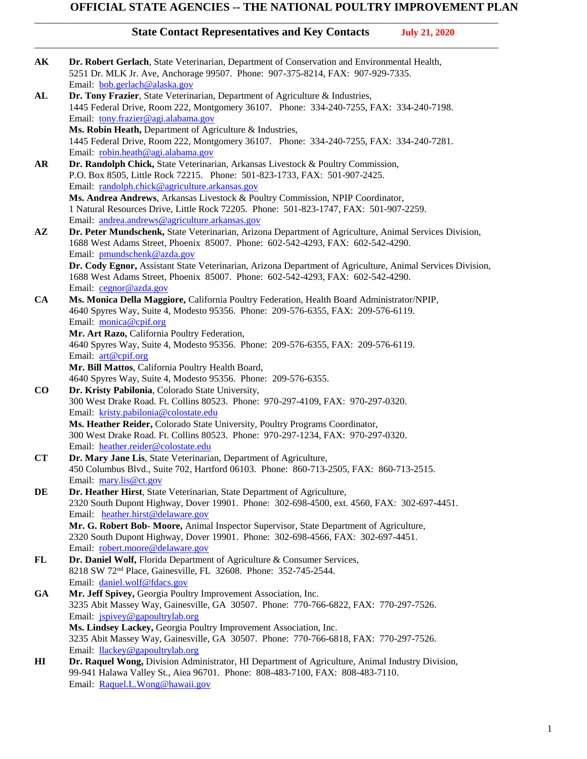\_\_\_\_\_\_\_\_\_\_\_\_\_\_\_\_\_\_\_\_\_\_\_\_\_\_\_\_\_\_\_\_\_\_\_\_\_\_\_\_\_\_\_\_\_\_\_\_\_\_\_\_\_\_\_\_\_\_\_\_\_\_\_\_\_\_\_\_\_\_\_\_\_\_\_\_\_\_\_\_\_\_\_\_\_\_\_\_\_\_\_\_\_\_\_\_

| AК             | Dr. Robert Gerlach, State Veterinarian, Department of Conservation and Environmental Health,<br>5251 Dr. MLK Jr. Ave, Anchorage 99507. Phone: 907-375-8214, FAX: 907-929-7335. |
|----------------|--------------------------------------------------------------------------------------------------------------------------------------------------------------------------------|
|                | Email: bob.gerlach@alaska.gov                                                                                                                                                  |
| ${\bf AL}$     | Dr. Tony Frazier, State Veterinarian, Department of Agriculture & Industries,<br>1445 Federal Drive, Room 222, Montgomery 36107. Phone: 334-240-7255, FAX: 334-240-7198.       |
|                | Email: tony.frazier@agi.alabama.gov                                                                                                                                            |
|                | Ms. Robin Heath, Department of Agriculture & Industries,                                                                                                                       |
|                | 1445 Federal Drive, Room 222, Montgomery 36107. Phone: 334-240-7255, FAX: 334-240-7281.                                                                                        |
|                | Email: robin.heath@agi.alabama.gov                                                                                                                                             |
| AR             | Dr. Randolph Chick, State Veterinarian, Arkansas Livestock & Poultry Commission,                                                                                               |
|                | P.O. Box 8505, Little Rock 72215. Phone: 501-823-1733, FAX: 501-907-2425.                                                                                                      |
|                | Email: randolph.chick@agriculture.arkansas.gov                                                                                                                                 |
|                | Ms. Andrea Andrews, Arkansas Livestock & Poultry Commission, NPIP Coordinator,                                                                                                 |
|                | 1 Natural Resources Drive, Little Rock 72205. Phone: 501-823-1747, FAX: 501-907-2259.                                                                                          |
| $A\mathbf{Z}$  | Email: andrea.andrews@agriculture.arkansas.gov<br>Dr. Peter Mundschenk, State Veterinarian, Arizona Department of Agriculture, Animal Services Division,                       |
|                | 1688 West Adams Street, Phoenix 85007. Phone: 602-542-4293, FAX: 602-542-4290.<br>Email: pmundschenk@azda.gov                                                                  |
|                | Dr. Cody Egnor, Assistant State Veterinarian, Arizona Department of Agriculture, Animal Services Division,                                                                     |
|                | 1688 West Adams Street, Phoenix 85007. Phone: 602-542-4293, FAX: 602-542-4290.                                                                                                 |
|                | Email: cegnor@azda.gov                                                                                                                                                         |
| CA             | Ms. Monica Della Maggiore, California Poultry Federation, Health Board Administrator/NPIP,                                                                                     |
|                | 4640 Spyres Way, Suite 4, Modesto 95356. Phone: 209-576-6355, FAX: 209-576-6119.                                                                                               |
|                | Email: monica@cpif.org                                                                                                                                                         |
|                | Mr. Art Razo, California Poultry Federation,                                                                                                                                   |
|                | 4640 Spyres Way, Suite 4, Modesto 95356. Phone: 209-576-6355, FAX: 209-576-6119.                                                                                               |
|                | Email: art@cpif.org                                                                                                                                                            |
|                | Mr. Bill Mattos, California Poultry Health Board,                                                                                                                              |
|                | 4640 Spyres Way, Suite 4, Modesto 95356. Phone: 209-576-6355.                                                                                                                  |
| $\bf{CO}$      | Dr. Kristy Pabilonia, Colorado State University,                                                                                                                               |
|                | 300 West Drake Road. Ft. Collins 80523. Phone: 970-297-4109, FAX: 970-297-0320.                                                                                                |
|                | Email: kristy.pabilonia@colostate.edu                                                                                                                                          |
|                | Ms. Heather Reider, Colorado State University, Poultry Programs Coordinator,                                                                                                   |
|                | 300 West Drake Road. Ft. Collins 80523. Phone: 970-297-1234, FAX: 970-297-0320.                                                                                                |
|                | Email: heather.reider@colostate.edu                                                                                                                                            |
| CT             | Dr. Mary Jane Lis, State Veterinarian, Department of Agriculture,                                                                                                              |
|                | 450 Columbus Blvd., Suite 702, Hartford 06103. Phone: 860-713-2505, FAX: 860-713-2515.                                                                                         |
|                | Email: mary.lis@ct.gov                                                                                                                                                         |
| DE             | Dr. Heather Hirst, State Veterinarian, State Department of Agriculture,                                                                                                        |
|                | 2320 South Dupont Highway, Dover 19901. Phone: 302-698-4500, ext. 4560, FAX: 302-697-4451.                                                                                     |
|                | Email: heather.hirst@delaware.gov                                                                                                                                              |
|                | Mr. G. Robert Bob- Moore, Animal Inspector Supervisor, State Department of Agriculture,<br>2320 South Dupont Highway, Dover 19901. Phone: 302-698-4566, FAX: 302-697-4451.     |
|                | Email: robert.moore@delaware.gov                                                                                                                                               |
| FL             | Dr. Daniel Wolf, Florida Department of Agriculture & Consumer Services,                                                                                                        |
|                | 8218 SW 72 <sup>nd</sup> Place, Gainesville, FL 32608. Phone: 352-745-2544.                                                                                                    |
|                | Email: daniel.wolf@fdacs.gov                                                                                                                                                   |
| <b>GA</b>      | Mr. Jeff Spivey, Georgia Poultry Improvement Association, Inc.                                                                                                                 |
|                | 3235 Abit Massey Way, Gainesville, GA 30507. Phone: 770-766-6822, FAX: 770-297-7526.                                                                                           |
|                | Email: jspivey@gapoultrylab.org                                                                                                                                                |
|                | Ms. Lindsey Lackey, Georgia Poultry Improvement Association, Inc.                                                                                                              |
|                | 3235 Abit Massey Way, Gainesville, GA 30507. Phone: 770-766-6818, FAX: 770-297-7526.                                                                                           |
|                | Email: llackey@gapoultrylab.org                                                                                                                                                |
| H <sub>I</sub> | Dr. Raquel Wong, Division Administrator, HI Department of Agriculture, Animal Industry Division,                                                                               |
|                | 99-941 Halawa Valley St., Aiea 96701. Phone: 808-483-7100, FAX: 808-483-7110.                                                                                                  |
|                | Email: Raquel.L.Wong@hawaii.gov                                                                                                                                                |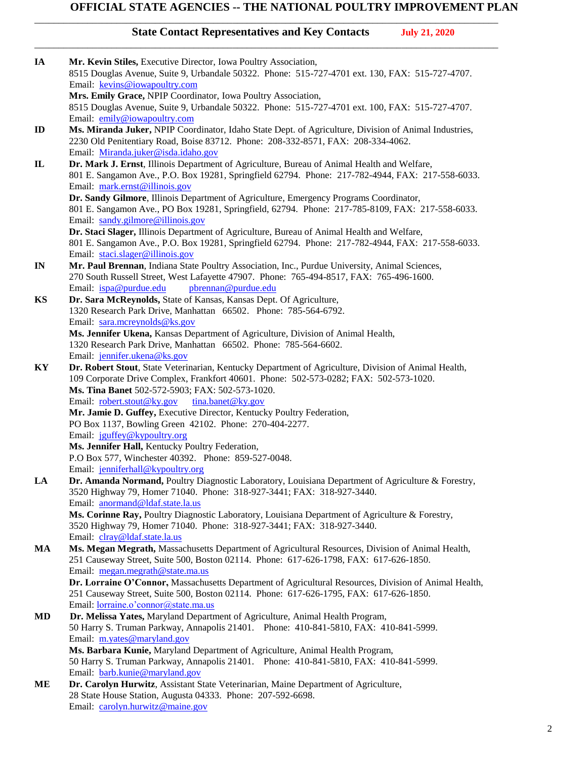\_\_\_\_\_\_\_\_\_\_\_\_\_\_\_\_\_\_\_\_\_\_\_\_\_\_\_\_\_\_\_\_\_\_\_\_\_\_\_\_\_\_\_\_\_\_\_\_\_\_\_\_\_\_\_\_\_\_\_\_\_\_\_\_\_\_\_\_\_\_\_\_\_\_\_\_\_\_\_\_\_\_\_\_\_\_\_\_\_\_\_\_\_\_\_\_

| IA             | Mr. Kevin Stiles, Executive Director, Iowa Poultry Association,                                                                                                                                 |
|----------------|-------------------------------------------------------------------------------------------------------------------------------------------------------------------------------------------------|
|                | 8515 Douglas Avenue, Suite 9, Urbandale 50322. Phone: 515-727-4701 ext. 130, FAX: 515-727-4707.                                                                                                 |
|                | Email: kevins@iowapoultry.com                                                                                                                                                                   |
|                | Mrs. Emily Grace, NPIP Coordinator, Iowa Poultry Association,                                                                                                                                   |
|                | 8515 Douglas Avenue, Suite 9, Urbandale 50322. Phone: 515-727-4701 ext. 100, FAX: 515-727-4707.                                                                                                 |
|                | Email: emily@iowapoultry.com                                                                                                                                                                    |
| $\mathbf{D}$   | Ms. Miranda Juker, NPIP Coordinator, Idaho State Dept. of Agriculture, Division of Animal Industries,                                                                                           |
|                | 2230 Old Penitentiary Road, Boise 83712. Phone: 208-332-8571, FAX: 208-334-4062.                                                                                                                |
|                | Email: Miranda.juker@isda.idaho.gov                                                                                                                                                             |
| $\mathbf{I}$   | Dr. Mark J. Ernst, Illinois Department of Agriculture, Bureau of Animal Health and Welfare,<br>801 E. Sangamon Ave., P.O. Box 19281, Springfield 62794. Phone: 217-782-4944, FAX: 217-558-6033. |
|                | Email: mark.ernst@illinois.gov                                                                                                                                                                  |
|                | Dr. Sandy Gilmore, Illinois Department of Agriculture, Emergency Programs Coordinator,                                                                                                          |
|                | 801 E. Sangamon Ave., PO Box 19281, Springfield, 62794. Phone: 217-785-8109, FAX: 217-558-6033.                                                                                                 |
|                | Email: sandy.gilmore@illinois.gov                                                                                                                                                               |
|                | Dr. Staci Slager, Illinois Department of Agriculture, Bureau of Animal Health and Welfare,                                                                                                      |
|                | 801 E. Sangamon Ave., P.O. Box 19281, Springfield 62794. Phone: 217-782-4944, FAX: 217-558-6033.                                                                                                |
|                | Email: staci.slager@illinois.gov                                                                                                                                                                |
| $\mathbf{I}$ N | Mr. Paul Brennan, Indiana State Poultry Association, Inc., Purdue University, Animal Sciences,                                                                                                  |
|                | 270 South Russell Street, West Lafayette 47907. Phone: 765-494-8517, FAX: 765-496-1600.                                                                                                         |
|                | pbrennan@purdue.edu<br>Email: ispa@purdue.edu                                                                                                                                                   |
| <b>KS</b>      | Dr. Sara McReynolds, State of Kansas, Kansas Dept. Of Agriculture,                                                                                                                              |
|                | 1320 Research Park Drive, Manhattan 66502. Phone: 785-564-6792.                                                                                                                                 |
|                | Email: sara.mcreynolds@ks.gov                                                                                                                                                                   |
|                | Ms. Jennifer Ukena, Kansas Department of Agriculture, Division of Animal Health,                                                                                                                |
|                | 1320 Research Park Drive, Manhattan 66502. Phone: 785-564-6602.                                                                                                                                 |
|                | Email: jennifer.ukena@ks.gov                                                                                                                                                                    |
| KY             | Dr. Robert Stout, State Veterinarian, Kentucky Department of Agriculture, Division of Animal Health,                                                                                            |
|                | 109 Corporate Drive Complex, Frankfort 40601. Phone: 502-573-0282; FAX: 502-573-1020.                                                                                                           |
|                | Ms. Tina Banet 502-572-5903; FAX: 502-573-1020.                                                                                                                                                 |
|                | Email: robert.stout@ky.gov<br>tina.banet@ky.gov<br>Mr. Jamie D. Guffey, Executive Director, Kentucky Poultry Federation,                                                                        |
|                | PO Box 1137, Bowling Green 42102. Phone: 270-404-2277.                                                                                                                                          |
|                | Email: jguffey@kypoultry.org                                                                                                                                                                    |
|                | Ms. Jennifer Hall, Kentucky Poultry Federation,                                                                                                                                                 |
|                | P.O Box 577, Winchester 40392. Phone: 859-527-0048.                                                                                                                                             |
|                | Email: jenniferhall@kypoultry.org                                                                                                                                                               |
| LA             | Dr. Amanda Normand, Poultry Diagnostic Laboratory, Louisiana Department of Agriculture & Forestry,                                                                                              |
|                | 3520 Highway 79, Homer 71040. Phone: 318-927-3441; FAX: 318-927-3440.                                                                                                                           |
|                | Email: anormand@ldaf.state.la.us                                                                                                                                                                |
|                | Ms. Corinne Ray, Poultry Diagnostic Laboratory, Louisiana Department of Agriculture & Forestry,                                                                                                 |
|                | 3520 Highway 79, Homer 71040. Phone: 318-927-3441; FAX: 318-927-3440.                                                                                                                           |
|                | Email: clray@ldaf.state.la.us                                                                                                                                                                   |
| MA             | Ms. Megan Megrath, Massachusetts Department of Agricultural Resources, Division of Animal Health,                                                                                               |
|                | 251 Causeway Street, Suite 500, Boston 02114. Phone: 617-626-1798, FAX: 617-626-1850.                                                                                                           |
|                | Email: megan.megrath@state.ma.us                                                                                                                                                                |
|                | Dr. Lorraine O'Connor, Massachusetts Department of Agricultural Resources, Division of Animal Health,<br>251 Causeway Street, Suite 500, Boston 02114. Phone: 617-626-1795, FAX: 617-626-1850.  |
|                | Email: <i>lorraine.o'connor@state.ma.us</i>                                                                                                                                                     |
| <b>MD</b>      | Dr. Melissa Yates, Maryland Department of Agriculture, Animal Health Program,                                                                                                                   |
|                | 50 Harry S. Truman Parkway, Annapolis 21401. Phone: 410-841-5810, FAX: 410-841-5999.                                                                                                            |
|                | Email: m.yates@maryland.gov                                                                                                                                                                     |
|                | Ms. Barbara Kunie, Maryland Department of Agriculture, Animal Health Program,                                                                                                                   |
|                | 50 Harry S. Truman Parkway, Annapolis 21401. Phone: 410-841-5810, FAX: 410-841-5999.                                                                                                            |
|                | Email: barb.kunie@maryland.gov                                                                                                                                                                  |
| ME             | Dr. Carolyn Hurwitz, Assistant State Veterinarian, Maine Department of Agriculture,                                                                                                             |
|                | 28 State House Station, Augusta 04333. Phone: 207-592-6698.                                                                                                                                     |
|                | Email: carolyn.hurwitz@maine.gov                                                                                                                                                                |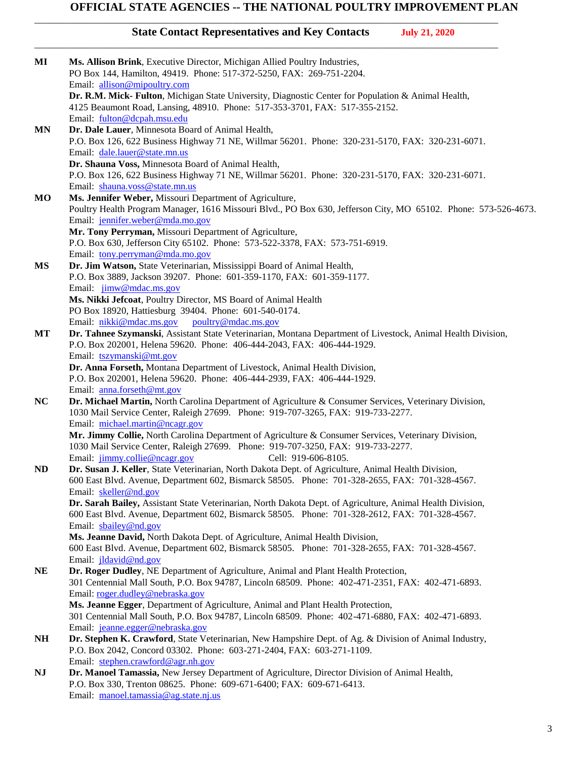\_\_\_\_\_\_\_\_\_\_\_\_\_\_\_\_\_\_\_\_\_\_\_\_\_\_\_\_\_\_\_\_\_\_\_\_\_\_\_\_\_\_\_\_\_\_\_\_\_\_\_\_\_\_\_\_\_\_\_\_\_\_\_\_\_\_\_\_\_\_\_\_\_\_\_\_\_\_\_\_\_\_\_\_\_\_\_\_\_\_\_\_\_\_\_\_

| MI        | Ms. Allison Brink, Executive Director, Michigan Allied Poultry Industries,                                                                                                            |
|-----------|---------------------------------------------------------------------------------------------------------------------------------------------------------------------------------------|
|           | PO Box 144, Hamilton, 49419. Phone: 517-372-5250, FAX: 269-751-2204.                                                                                                                  |
|           | Email: allison@mipoultry.com                                                                                                                                                          |
|           | Dr. R.M. Mick- Fulton, Michigan State University, Diagnostic Center for Population & Animal Health,                                                                                   |
|           | 4125 Beaumont Road, Lansing, 48910. Phone: 517-353-3701, FAX: 517-355-2152.                                                                                                           |
|           | Email: fulton@dcpah.msu.edu                                                                                                                                                           |
| MN        | Dr. Dale Lauer, Minnesota Board of Animal Health,                                                                                                                                     |
|           | P.O. Box 126, 622 Business Highway 71 NE, Willmar 56201. Phone: 320-231-5170, FAX: 320-231-6071.                                                                                      |
|           | Email: dale.lauer@state.mn.us                                                                                                                                                         |
|           | Dr. Shauna Voss, Minnesota Board of Animal Health,                                                                                                                                    |
|           | P.O. Box 126, 622 Business Highway 71 NE, Willmar 56201. Phone: 320-231-5170, FAX: 320-231-6071.                                                                                      |
|           | Email: shauna.voss@state.mn.us                                                                                                                                                        |
| MO        | Ms. Jennifer Weber, Missouri Department of Agriculture,                                                                                                                               |
|           | Poultry Health Program Manager, 1616 Missouri Blvd., PO Box 630, Jefferson City, MO 65102. Phone: 573-526-4673.                                                                       |
|           | Email: jennifer.weber@mda.mo.gov                                                                                                                                                      |
|           | Mr. Tony Perryman, Missouri Department of Agriculture,                                                                                                                                |
|           | P.O. Box 630, Jefferson City 65102. Phone: 573-522-3378, FAX: 573-751-6919.                                                                                                           |
|           | Email: tony.perryman@mda.mo.gov                                                                                                                                                       |
| MS        | Dr. Jim Watson, State Veterinarian, Mississippi Board of Animal Health,                                                                                                               |
|           | P.O. Box 3889, Jackson 39207. Phone: 601-359-1170, FAX: 601-359-1177.                                                                                                                 |
|           | Email: jimw@mdac.ms.gov                                                                                                                                                               |
|           | Ms. Nikki Jefcoat, Poultry Director, MS Board of Animal Health                                                                                                                        |
|           | PO Box 18920, Hattiesburg 39404. Phone: 601-540-0174.                                                                                                                                 |
|           | Email: nikki@mdac.ms.gov<br>poultry@mdac.ms.gov<br>Dr. Tahnee Szymanski, Assistant State Veterinarian, Montana Department of Livestock, Animal Health Division,                       |
| МT        | P.O. Box 202001, Helena 59620. Phone: 406-444-2043, FAX: 406-444-1929.                                                                                                                |
|           | Email: tszymanski@mt.gov                                                                                                                                                              |
|           | Dr. Anna Forseth, Montana Department of Livestock, Animal Health Division,                                                                                                            |
|           | P.O. Box 202001, Helena 59620. Phone: 406-444-2939, FAX: 406-444-1929.                                                                                                                |
|           | Email: anna.forseth@mt.gov                                                                                                                                                            |
| NC        | Dr. Michael Martin, North Carolina Department of Agriculture & Consumer Services, Veterinary Division,                                                                                |
|           | 1030 Mail Service Center, Raleigh 27699. Phone: 919-707-3265, FAX: 919-733-2277.                                                                                                      |
|           | Email: michael.martin@ncagr.gov                                                                                                                                                       |
|           | Mr. Jimmy Collie, North Carolina Department of Agriculture & Consumer Services, Veterinary Division,                                                                                  |
|           | 1030 Mail Service Center, Raleigh 27699. Phone: 919-707-3250, FAX: 919-733-2277.                                                                                                      |
|           | Email: jimmy.collie@ncagr.gov<br>Cell: 919-606-8105.                                                                                                                                  |
| ND        | Dr. Susan J. Keller, State Veterinarian, North Dakota Dept. of Agriculture, Animal Health Division,                                                                                   |
|           | 600 East Blvd. Avenue, Department 602, Bismarck 58505. Phone: 701-328-2655, FAX: 701-328-4567                                                                                         |
|           | Email: skeller@nd.gov                                                                                                                                                                 |
|           | Dr. Sarah Bailey, Assistant State Veterinarian, North Dakota Dept. of Agriculture, Animal Health Division,                                                                            |
|           | 600 East Blvd. Avenue, Department 602, Bismarck 58505. Phone: 701-328-2612, FAX: 701-328-4567.                                                                                        |
|           | Email: sbailey@nd.gov                                                                                                                                                                 |
|           | Ms. Jeanne David, North Dakota Dept. of Agriculture, Animal Health Division,                                                                                                          |
|           | 600 East Blvd. Avenue, Department 602, Bismarck 58505. Phone: 701-328-2655, FAX: 701-328-4567.                                                                                        |
|           | Email: jldavid@nd.gov                                                                                                                                                                 |
| <b>NE</b> | Dr. Roger Dudley, NE Department of Agriculture, Animal and Plant Health Protection,                                                                                                   |
|           | 301 Centennial Mall South, P.O. Box 94787, Lincoln 68509. Phone: 402-471-2351, FAX: 402-471-6893.                                                                                     |
|           | Email: roger.dudley@nebraska.gov                                                                                                                                                      |
|           | Ms. Jeanne Egger, Department of Agriculture, Animal and Plant Health Protection,<br>301 Centennial Mall South, P.O. Box 94787, Lincoln 68509. Phone: 402-471-6880, FAX: 402-471-6893. |
|           | Email: jeanne.egger@nebraska.gov                                                                                                                                                      |
|           | Dr. Stephen K. Crawford, State Veterinarian, New Hampshire Dept. of Ag. & Division of Animal Industry,                                                                                |
| NH        | P.O. Box 2042, Concord 03302. Phone: 603-271-2404, FAX: 603-271-1109.                                                                                                                 |
|           | Email: stephen.crawford@agr.nh.gov                                                                                                                                                    |
| NJ        | Dr. Manoel Tamassia, New Jersey Department of Agriculture, Director Division of Animal Health,                                                                                        |
|           | P.O. Box 330, Trenton 08625. Phone: 609-671-6400; FAX: 609-671-6413.                                                                                                                  |
|           | Email: manoel.tamassia@ag.state.nj.us                                                                                                                                                 |
|           |                                                                                                                                                                                       |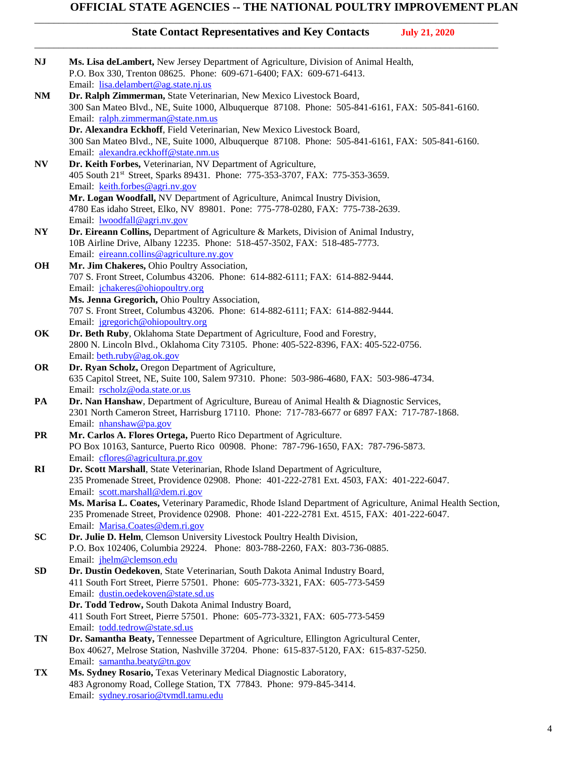\_\_\_\_\_\_\_\_\_\_\_\_\_\_\_\_\_\_\_\_\_\_\_\_\_\_\_\_\_\_\_\_\_\_\_\_\_\_\_\_\_\_\_\_\_\_\_\_\_\_\_\_\_\_\_\_\_\_\_\_\_\_\_\_\_\_\_\_\_\_\_\_\_\_\_\_\_\_\_\_\_\_\_\_\_\_\_\_\_\_\_\_\_\_\_\_

| <b>NJ</b>    | Ms. Lisa deLambert, New Jersey Department of Agriculture, Division of Animal Health,<br>P.O. Box 330, Trenton 08625. Phone: 609-671-6400; FAX: 609-671-6413.                                                    |
|--------------|-----------------------------------------------------------------------------------------------------------------------------------------------------------------------------------------------------------------|
| NM           | Email: lisa.delambert@ag.state.nj.us<br>Dr. Ralph Zimmerman, State Veterinarian, New Mexico Livestock Board,<br>300 San Mateo Blvd., NE, Suite 1000, Albuquerque 87108. Phone: 505-841-6161, FAX: 505-841-6160. |
|              | Email: ralph.zimmerman@state.nm.us                                                                                                                                                                              |
|              | Dr. Alexandra Eckhoff, Field Veterinarian, New Mexico Livestock Board,                                                                                                                                          |
|              |                                                                                                                                                                                                                 |
|              | 300 San Mateo Blvd., NE, Suite 1000, Albuquerque 87108. Phone: 505-841-6161, FAX: 505-841-6160.                                                                                                                 |
|              | Email: alexandra.eckhoff@state.nm.us                                                                                                                                                                            |
| N V          | Dr. Keith Forbes, Veterinarian, NV Department of Agriculture,<br>405 South 21 <sup>st</sup> Street, Sparks 89431. Phone: 775-353-3707, FAX: 775-353-3659.                                                       |
|              | Email: keith.forbes@agri.nv.gov                                                                                                                                                                                 |
|              | Mr. Logan Woodfall, NV Department of Agriculture, Animcal Inustry Division,<br>4780 Eas idaho Street, Elko, NV 89801. Pone: 775-778-0280, FAX: 775-738-2639.                                                    |
|              | Email: <b>lwoodfall@agri.nv.gov</b>                                                                                                                                                                             |
| NY           | Dr. Eireann Collins, Department of Agriculture & Markets, Division of Animal Industry,<br>10B Airline Drive, Albany 12235. Phone: 518-457-3502, FAX: 518-485-7773.                                              |
|              | Email: eireann.collins@agriculture.ny.gov                                                                                                                                                                       |
| <b>OH</b>    | Mr. Jim Chakeres, Ohio Poultry Association,                                                                                                                                                                     |
|              | 707 S. Front Street, Columbus 43206. Phone: 614-882-6111; FAX: 614-882-9444.                                                                                                                                    |
|              | Email: jchakeres@ohiopoultry.org                                                                                                                                                                                |
|              | Ms. Jenna Gregorich, Ohio Poultry Association,                                                                                                                                                                  |
|              | 707 S. Front Street, Columbus 43206. Phone: 614-882-6111; FAX: 614-882-9444.                                                                                                                                    |
|              | Email: jgregorich@ohiopoultry.org                                                                                                                                                                               |
| OK           | Dr. Beth Ruby, Oklahoma State Department of Agriculture, Food and Forestry,                                                                                                                                     |
|              | 2800 N. Lincoln Blvd., Oklahoma City 73105. Phone: 405-522-8396, FAX: 405-522-0756.                                                                                                                             |
|              | Email: beth.ruby@ag.ok.gov                                                                                                                                                                                      |
| <b>OR</b>    | Dr. Ryan Scholz, Oregon Department of Agriculture,                                                                                                                                                              |
|              | 635 Capitol Street, NE, Suite 100, Salem 97310. Phone: 503-986-4680, FAX: 503-986-4734.                                                                                                                         |
|              | Email: rscholz@oda.state.or.us                                                                                                                                                                                  |
| PA           | Dr. Nan Hanshaw, Department of Agriculture, Bureau of Animal Health & Diagnostic Services,                                                                                                                      |
|              | 2301 North Cameron Street, Harrisburg 17110. Phone: 717-783-6677 or 6897 FAX: 717-787-1868.                                                                                                                     |
|              | Email: nhanshaw@pa.gov                                                                                                                                                                                          |
| <b>PR</b>    | Mr. Carlos A. Flores Ortega, Puerto Rico Department of Agriculture.                                                                                                                                             |
|              | PO Box 10163, Santurce, Puerto Rico 00908. Phone: 787-796-1650, FAX: 787-796-5873.                                                                                                                              |
|              | Email: cflores@agricultura.pr.gov                                                                                                                                                                               |
| $\mathbf{R}$ | Dr. Scott Marshall, State Veterinarian, Rhode Island Department of Agriculture,                                                                                                                                 |
|              | 235 Promenade Street, Providence 02908. Phone: 401-222-2781 Ext. 4503, FAX: 401-222-6047.                                                                                                                       |
|              | Email: scott.marshall@dem.ri.gov                                                                                                                                                                                |
|              | Ms. Marisa L. Coates, Veterinary Paramedic, Rhode Island Department of Agriculture, Animal Health Section,                                                                                                      |
|              | 235 Promenade Street, Providence 02908. Phone: 401-222-2781 Ext. 4515, FAX: 401-222-6047.                                                                                                                       |
|              | Email: Marisa.Coates@dem.ri.gov                                                                                                                                                                                 |
| <b>SC</b>    | Dr. Julie D. Helm, Clemson University Livestock Poultry Health Division,                                                                                                                                        |
|              | P.O. Box 102406, Columbia 29224. Phone: 803-788-2260, FAX: 803-736-0885.                                                                                                                                        |
|              | Email: jhelm@clemson.edu                                                                                                                                                                                        |
| <b>SD</b>    | Dr. Dustin Oedekoven, State Veterinarian, South Dakota Animal Industry Board,                                                                                                                                   |
|              | 411 South Fort Street, Pierre 57501. Phone: 605-773-3321, FAX: 605-773-5459                                                                                                                                     |
|              | Email: dustin.oedekoven@state.sd.us                                                                                                                                                                             |
|              | Dr. Todd Tedrow, South Dakota Animal Industry Board,                                                                                                                                                            |
|              | 411 South Fort Street, Pierre 57501. Phone: 605-773-3321, FAX: 605-773-5459                                                                                                                                     |
|              | Email: todd.tedrow@state.sd.us                                                                                                                                                                                  |
| <b>TN</b>    | Dr. Samantha Beaty, Tennessee Department of Agriculture, Ellington Agricultural Center,                                                                                                                         |
|              | Box 40627, Melrose Station, Nashville 37204. Phone: 615-837-5120, FAX: 615-837-5250.                                                                                                                            |
|              | Email: samantha.beaty@tn.gov                                                                                                                                                                                    |
| TX           | Ms. Sydney Rosario, Texas Veterinary Medical Diagnostic Laboratory,                                                                                                                                             |
|              | 483 Agronomy Road, College Station, TX 77843. Phone: 979-845-3414.                                                                                                                                              |
|              | Email: sydney.rosario@tvmdl.tamu.edu                                                                                                                                                                            |
|              |                                                                                                                                                                                                                 |